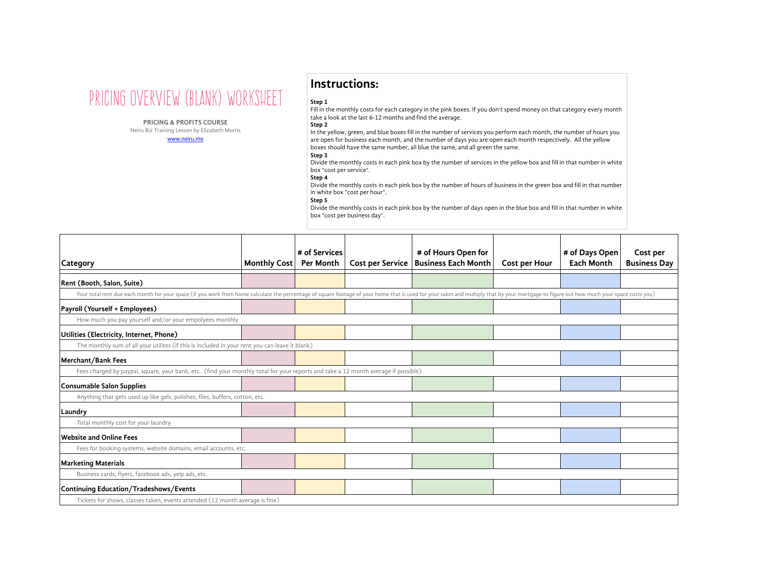

**PRICING & PROFITS COURSE**

Neiru Biz Training Lesson by Elizabeth Morris www.neiru.me

# **Instructions:**

## **Step 1**

Fill in the monthly costs for each category in the pink boxes. If you don't spend money on that category every month take a look at the last 6-12 months and find the average.

#### **Step 2**

In the yellow, green, and blue boxes fill in the number of services you perform each month, the number of hours you are open for business each month, and the number of days you are open each month respectively. All the yellow boxes should have the same number, all blue the same, and all green the same.

## **Step 3**

Divide the monthly costs in each pink box by the number of services in the yellow box and fill in that number in white box "cost per service".

## **Step 4**

Divide the monthly costs in each pink box by the number of hours of business in the green box and fill in that number in white box "cost per hour".

#### **Step 5**

Divide the monthly costs in each pink box by the number of days open in the blue box and fill in that number in white box "cost per business day".

| Category                                                                                                                                                                                                                      | <b>Monthly Cost</b> | # of Services<br><b>Per Month</b> | <b>Cost per Service</b> | # of Hours Open for<br><b>Business Each Month</b> | Cost per Hour | # of Days Open<br><b>Each Month</b> | Cost per<br><b>Business Day</b> |
|-------------------------------------------------------------------------------------------------------------------------------------------------------------------------------------------------------------------------------|---------------------|-----------------------------------|-------------------------|---------------------------------------------------|---------------|-------------------------------------|---------------------------------|
| Rent (Booth, Salon, Suite)                                                                                                                                                                                                    |                     |                                   |                         |                                                   |               |                                     |                                 |
| Your total rent due each month for your space (if you work from home calculate the percentage of square footage of your home that is used for your salon and multiply that by your mortgage to figure out how much your space |                     |                                   |                         |                                                   |               |                                     |                                 |
| Payroll (Yourself + Employees)                                                                                                                                                                                                |                     |                                   |                         |                                                   |               |                                     |                                 |
| How much you pay yourself and/or your empolyees monthly                                                                                                                                                                       |                     |                                   |                         |                                                   |               |                                     |                                 |
| Utilities (Electricity, Internet, Phone)                                                                                                                                                                                      |                     |                                   |                         |                                                   |               |                                     |                                 |
| The monthly sum of all your utilites (if this is included in your rent you can leave it blank)                                                                                                                                |                     |                                   |                         |                                                   |               |                                     |                                 |
| Merchant/Bank Fees                                                                                                                                                                                                            |                     |                                   |                         |                                                   |               |                                     |                                 |
| Fees charged by paypal, square, your bank, etc. (find your monthly total for your reports and take a 12 month average if possible)                                                                                            |                     |                                   |                         |                                                   |               |                                     |                                 |
| Consumable Salon Supplies                                                                                                                                                                                                     |                     |                                   |                         |                                                   |               |                                     |                                 |
| Anything that gets used up like gels, polishes, files, buffers, cotton, etc.                                                                                                                                                  |                     |                                   |                         |                                                   |               |                                     |                                 |
| Laundry                                                                                                                                                                                                                       |                     |                                   |                         |                                                   |               |                                     |                                 |
| Total monthly cost for your laundry                                                                                                                                                                                           |                     |                                   |                         |                                                   |               |                                     |                                 |
| <b>Website and Online Fees</b>                                                                                                                                                                                                |                     |                                   |                         |                                                   |               |                                     |                                 |
| Fees for booking systems, website domains, email accounts, etc.                                                                                                                                                               |                     |                                   |                         |                                                   |               |                                     |                                 |
| <b>Marketing Materials</b>                                                                                                                                                                                                    |                     |                                   |                         |                                                   |               |                                     |                                 |
| Business cards, flyers, facebook ads, yelp ads, etc.                                                                                                                                                                          |                     |                                   |                         |                                                   |               |                                     |                                 |
| Continuing Education/Tradeshows/Events                                                                                                                                                                                        |                     |                                   |                         |                                                   |               |                                     |                                 |
| Tickets for shows, classes taken, events attended (12 month average is fine)                                                                                                                                                  |                     |                                   |                         |                                                   |               |                                     |                                 |